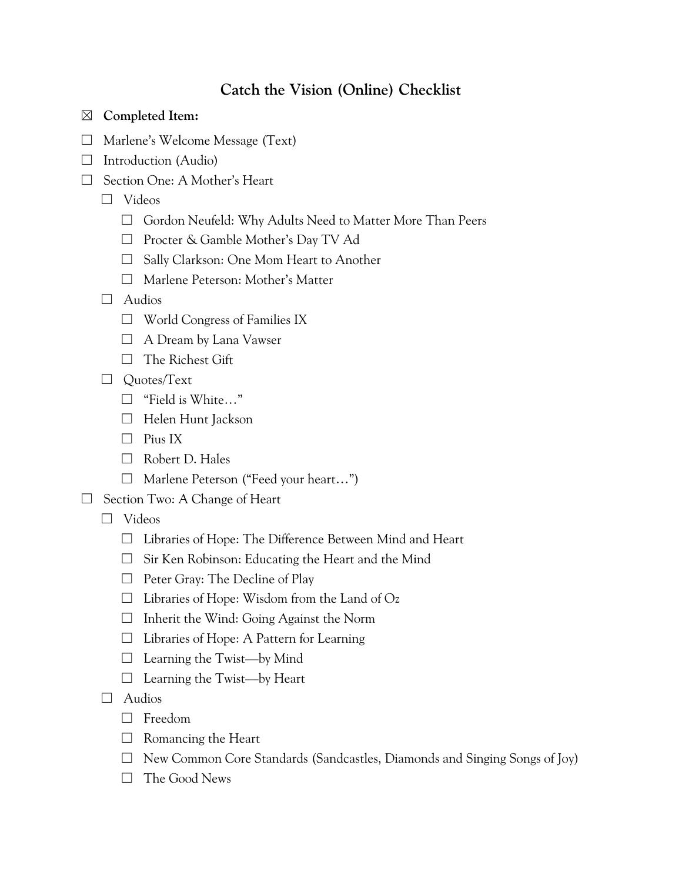## **Catch the Vision (Online) Checklist**

## ☒ **Completed Item:**

- ☐ Marlene's Welcome Message (Text)
- $\Box$  Introduction (Audio)
- ☐ Section One: A Mother's Heart
	- ☐ Videos
		- ☐ Gordon Neufeld: Why Adults Need to Matter More Than Peers
		- ☐ Procter & Gamble Mother's Day TV Ad
		- ☐ Sally Clarkson: One Mom Heart to Another
		- ☐ Marlene Peterson: Mother's Matter

## ☐ Audios

- ☐ World Congress of Families IX
- □ A Dream by Lana Vawser
- ☐ The Richest Gift
- □ Quotes/Text
	- ☐ "Field is White…"
	- ☐ Helen Hunt Jackson
	- ☐ Pius IX
	- ☐ Robert D. Hales
	- ☐ Marlene Peterson ("Feed your heart…")
- ☐ Section Two: A Change of Heart
	- ☐ Videos
		- ☐ Libraries of Hope: The Difference Between Mind and Heart
		- ☐ Sir Ken Robinson: Educating the Heart and the Mind
		- $\Box$  Peter Gray: The Decline of Play
		- $\Box$  Libraries of Hope: Wisdom from the Land of Oz
		- ☐ Inherit the Wind: Going Against the Norm
		- ☐ Libraries of Hope: A Pattern for Learning
		- ☐ Learning the Twist—by Mind
		- ☐ Learning the Twist—by Heart
	- ☐ Audios
		- ☐ Freedom
		- $\Box$  Romancing the Heart
		- ☐ New Common Core Standards (Sandcastles, Diamonds and Singing Songs of Joy)
		- ☐ The Good News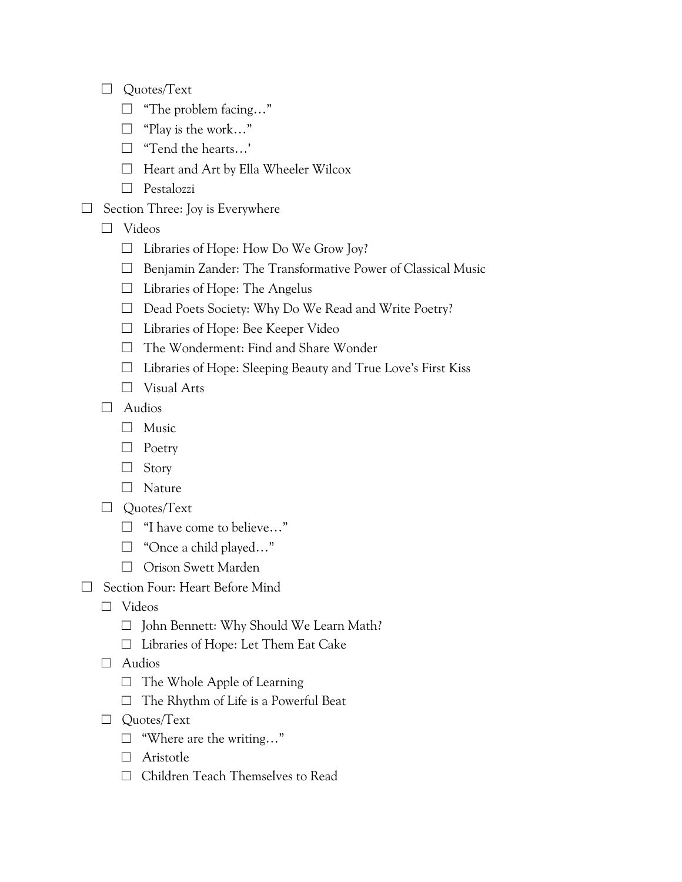- ☐ Quotes/Text
	- $\Box$  "The problem facing..."
	- ☐ "Play is the work…"
	- ☐ "Tend the hearts…'
	- ☐ Heart and Art by Ella Wheeler Wilcox
	- ☐ Pestalozzi
- ☐ Section Three: Joy is Everywhere
	- ☐ Videos
		- $\Box$  Libraries of Hope: How Do We Grow Joy?
		- ☐ Benjamin Zander: The Transformative Power of Classical Music
		- ☐ Libraries of Hope: The Angelus
		- ☐ Dead Poets Society: Why Do We Read and Write Poetry?
		- ☐ Libraries of Hope: Bee Keeper Video
		- ☐ The Wonderment: Find and Share Wonder
		- ☐ Libraries of Hope: Sleeping Beauty and True Love's First Kiss
		- ☐ Visual Arts
	- ☐ Audios
		- ☐ Music
		- ☐ Poetry
		- ☐ Story
		- ☐ Nature
	- ☐ Quotes/Text
		- ☐ "I have come to believe…"
		- □ "Once a child played..."
		- ☐ Orison Swett Marden
- ☐ Section Four: Heart Before Mind
	- ☐ Videos
		- ☐ John Bennett: Why Should We Learn Math?
		- ☐ Libraries of Hope: Let Them Eat Cake
	- ☐ Audios
		- $\Box$  The Whole Apple of Learning
		- ☐ The Rhythm of Life is a Powerful Beat
	- ☐ Quotes/Text
		- ☐ "Where are the writing…"
		- ☐ Aristotle
		- ☐ Children Teach Themselves to Read